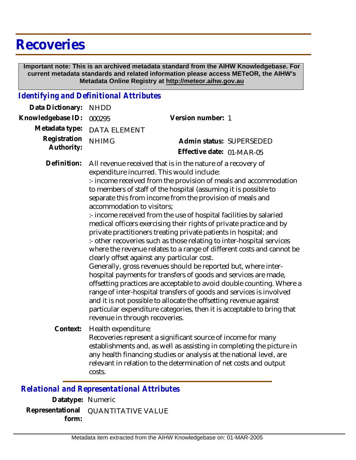# **Recoveries**

 **Important note: This is an archived metadata standard from the AIHW Knowledgebase. For current metadata standards and related information please access METeOR, the AIHW's Metadata Online Registry at http://meteor.aihw.gov.au**

### *Identifying and Definitional Attributes*

| 000295       | Version number: 1                                                                                                                                                                                                                                                                                                                                                                                                                                                                                                                                                                                                                                                                                                                                                                                                                                                                                                                                                                                                                                                                                                                                                  |
|--------------|--------------------------------------------------------------------------------------------------------------------------------------------------------------------------------------------------------------------------------------------------------------------------------------------------------------------------------------------------------------------------------------------------------------------------------------------------------------------------------------------------------------------------------------------------------------------------------------------------------------------------------------------------------------------------------------------------------------------------------------------------------------------------------------------------------------------------------------------------------------------------------------------------------------------------------------------------------------------------------------------------------------------------------------------------------------------------------------------------------------------------------------------------------------------|
|              |                                                                                                                                                                                                                                                                                                                                                                                                                                                                                                                                                                                                                                                                                                                                                                                                                                                                                                                                                                                                                                                                                                                                                                    |
| <b>NHIMG</b> | Admin status: SUPERSEDED                                                                                                                                                                                                                                                                                                                                                                                                                                                                                                                                                                                                                                                                                                                                                                                                                                                                                                                                                                                                                                                                                                                                           |
|              | Effective date: 01-MAR-05                                                                                                                                                                                                                                                                                                                                                                                                                                                                                                                                                                                                                                                                                                                                                                                                                                                                                                                                                                                                                                                                                                                                          |
|              | All revenue received that is in the nature of a recovery of<br>expenditure incurred. This would include:<br>:- income received from the provision of meals and accommodation<br>to members of staff of the hospital (assuming it is possible to<br>separate this from income from the provision of meals and<br>:- income received from the use of hospital facilities by salaried<br>medical officers exercising their rights of private practice and by<br>private practitioners treating private patients in hospital; and<br>:- other recoveries such as those relating to inter-hospital services<br>where the revenue relates to a range of different costs and cannot be<br>clearly offset against any particular cost.<br>Generally, gross revenues should be reported but, where inter-<br>hospital payments for transfers of goods and services are made,<br>offsetting practices are acceptable to avoid double counting. Where a<br>range of inter-hospital transfers of goods and services is involved<br>and it is not possible to allocate the offsetting revenue against<br>particular expenditure categories, then it is acceptable to bring that |
| costs.       | Recoveries represent a significant source of income for many<br>establishments and, as well as assisting in completing the picture in<br>any health financing studies or analysis at the national level, are<br>relevant in relation to the determination of net costs and output                                                                                                                                                                                                                                                                                                                                                                                                                                                                                                                                                                                                                                                                                                                                                                                                                                                                                  |
|              | <b>NHDD</b><br><b>DATA ELEMENT</b><br>accommodation to visitors;<br>revenue in through recoveries.<br>Health expenditure:                                                                                                                                                                                                                                                                                                                                                                                                                                                                                                                                                                                                                                                                                                                                                                                                                                                                                                                                                                                                                                          |

#### *Relational and Representational Attributes*

**Datatype:** Numeric **Representational** QUANTITATIVE VALUE  **form:**